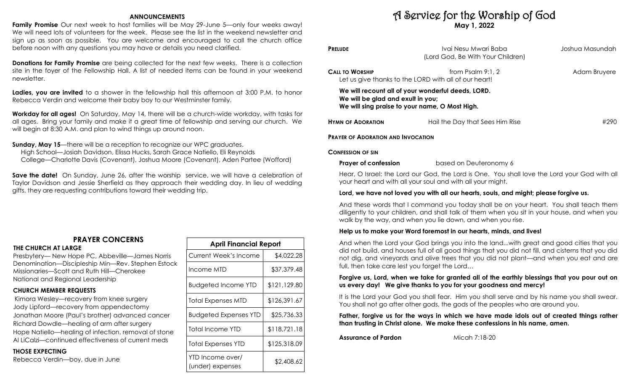#### **ANNOUNCEMENTS**

**Family Promise** Our next week to host families will be May 29-June 5—only four weeks away! We will need lots of volunteers for the week. Please see the list in the weekend newsletter and sign up as soon as possible. You are welcome and encouraged to call the church office before noon with any questions you may have or details you need clarified.

**Donations for Family Promise** are being collected for the next few weeks. There is a collection site in the foyer of the Fellowship Hall. A list of needed items can be found in your weekend newsletter.

**Ladies, you are invited** to a shower in the fellowship hall this afternoon at 3:00 P.M. to honor Rebecca Verdin and welcome their baby boy to our Westminster family.

**Workday for all ages!** On Saturday, May 14, there will be a church-wide workday, with tasks for all ages. Bring your family and make it a great time of fellowship and serving our church. We will begin at 8:30 A.M. and plan to wind things up around noon.

**Sunday, May 15—there will be a reception to recognize our WPC graduates.** 

High School—Josiah Davidson, Elissa Hucks, Sarah Grace Natiello, Eli Reynolds

College—Charlotte Davis (Covenant), Joshua Moore (Covenant), Aden Partee (Wofford)

**Save the date!** On Sunday, June 26, after the worship service, we will have a celebration of Taylor Davidson and Jessie Sherfield as they approach their wedding day. In lieu of wedding gifts, they are requesting contributions toward their wedding trip.

# **PRAYER CONCERNS**

**THE CHURCH AT LARGE** 

Presbytery— New Hope PC, Abbeville—James Norris Denomination—Discipleship Min—Rev. Stephen Estock Missionaries—Scott and Ruth Hill—Cherokee National and Regional Leadership

# **CHURCH MEMBER REQUESTS**

Kimora Wesley—recovery from knee surgery Jody Lipford—recovery from appendectomy Jonathan Moore (Paul's brother) advanced cancer Richard Dowdle—healing of arm after surgery Hope Natiello—healing of infection, removal of stone Al LiCalzi—continued effectiveness of current meds

# **THOSE EXPECTING**

Rebecca Verdin—boy, due in June

| <b>April Financial Report</b>        |              |  |  |  |
|--------------------------------------|--------------|--|--|--|
| <b>Current Week's Income</b>         | \$4,022.28   |  |  |  |
| Income MTD                           | \$37,379.48  |  |  |  |
| <b>Budgeted Income YTD</b>           | \$121,129.80 |  |  |  |
| Total Expenses MTD                   | \$126,391.67 |  |  |  |
| <b>Budgeted Expenses YTD</b>         | \$25,736.33  |  |  |  |
| Total Income YTD                     | \$118,721.18 |  |  |  |
| Total Expenses YTD                   | \$125,318.09 |  |  |  |
| YTD Income over/<br>(under) expenses | \$2,408.62   |  |  |  |

# A Service for the Worship of God **May 1, 2022**

| <b>PRELUDE</b>                    | Ivai Nesu Mwari Baba<br>(Lord God, Be With Your Children)                                            | Joshua Masundah |
|-----------------------------------|------------------------------------------------------------------------------------------------------|-----------------|
| CALL TO WORSHIP                   | from Psalm 9:1, 2<br>Let us give thanks to the LORD with all of our heart!                           | Adam Bruyere    |
| We will be glad and exult in you; | We will recount all of your wonderful deeds, LORD.<br>We will sing praise to your name, O Most High. |                 |
| <b>HYMN OF ADORATION</b>          | Hail the Day that Sees Him Rise                                                                      | #290            |
|                                   |                                                                                                      |                 |

**PRAYER OF ADORATION AND INVOCATION** 

#### **CONFESSION OF SIN**

#### **Prayer of confession based on Deuteronomy 6**

Hear, O Israel: the Lord our God, the Lord is One. You shall love the Lord your God with all your heart and with all your soul and with all your might.

# **Lord, we have not loved you with all our hearts, souls, and might; please forgive us.**

And these words that I command you today shall be on your heart. You shall teach them diligently to your children, and shall talk of them when you sit in your house, and when you walk by the way, and when you lie down, and when you rise.

# **Help us to make your Word foremost in our hearts, minds, and lives!**

And when the Lord your God brings you into the land...with great and good cities that you did not build, and houses full of all good things that you did not fill, and cisterns that you did not dig, and vineyards and olive trees that you did not plant—and when you eat and are full, then take care lest you forget the Lord…

# **Forgive us, Lord, when we take for granted all of the earthly blessings that you pour out on us every day! We give thanks to you for your goodness and mercy!**

It is the Lord your God you shall fear. Him you shall serve and by his name you shall swear. You shall not go after other gods, the gods of the peoples who are around you.

**Father, forgive us for the ways in which we have made idols out of created things rather than trusting in Christ alone. We make these confessions in his name, amen.** 

**Assurance of Pardon** Micah 7:18-20